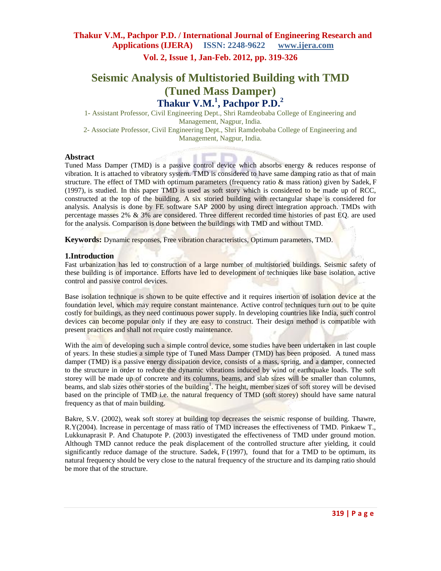**Thakur V.M., Pachpor P.D. / International Journal of Engineering Research and Applications (IJERA) ISSN: 2248-9622 www.ijera.com**

**Vol. 2, Issue 1, Jan-Feb. 2012, pp. 319-326**

# **Seismic Analysis of Multistoried Building with TMD (Tuned Mass Damper) Thakur V.M.<sup>1</sup> , Pachpor P.D.<sup>2</sup>**

1- Assistant Professor, Civil Engineering Dept., Shri Ramdeobaba College of Engineering and Management, Nagpur, India.

2- Associate Professor, Civil Engineering Dept., Shri Ramdeobaba College of Engineering and Management, Nagpur, India.

#### **Abstract**

Tuned Mass Damper (TMD) is a passive control device which absorbs energy & reduces response of vibration. It is attached to vibratory system. TMD is considered to have same damping ratio as that of main structure. The effect of TMD with optimum parameters (frequency ratio & mass ration) given by Sadek, F (1997), is studied. In this paper TMD is used as soft story which is considered to be made up of RCC, constructed at the top of the building. A six storied building with rectangular shape is considered for analysis. Analysis is done by FE software SAP 2000 by using direct integration approach. TMDs with percentage masses 2% & 3% are considered. Three different recorded time histories of past EQ. are used for the analysis. Comparison is done between the buildings with TMD and without TMD.

**Keywords:** Dynamic responses, Free vibration characteristics, Optimum parameters, TMD.

#### **1.Introduction**

Fast urbanization has led to construction of a large number of multistoried buildings. Seismic safety of these building is of importance. Efforts have led to development of techniques like base isolation, active control and passive control devices.

Base isolation technique is shown to be quite effective and it requires insertion of isolation device at the foundation level, which may require constant maintenance. Active control techniques turn out to be quite costly for buildings, as they need continuous power supply. In developing countries like India, such control devices can become popular only if they are easy to construct. Their design method is compatible with present practices and shall not require costly maintenance.

With the aim of developing such a simple control device, some studies have been undertaken in last couple of years. In these studies a simple type of Tuned Mass Damper (TMD) has been proposed. A tuned mass damper (TMD) is a passive energy dissipation device, consists of a mass, spring, and a damper, connected to the structure in order to reduce the dynamic vibrations induced by wind or earthquake loads. The soft storey will be made up of concrete and its columns, beams, and slab sizes will be smaller than columns, beams, and slab sizes other stories of the building<sup>1</sup>. The height, member sizes of soft storey will be devised based on the principle of TMD i.e. the natural frequency of TMD (soft storey) should have same natural frequency as that of main building.

Bakre, S.V. (2002), weak soft storey at building top decreases the seismic response of building. Thawre, R.Y(2004). Increase in percentage of mass ratio of TMD increases the effectiveness of TMD. Pinkaew T., Lukkunaprasit P. And Chatupote P. (2003) investigated the effectiveness of TMD under ground motion. Although TMD cannot reduce the peak displacement of the controlled structure after yielding, it could significantly reduce damage of the structure. Sadek,  $F(1997)$ , found that for a TMD to be optimum, its natural frequency should be very close to the natural frequency of the structure and its damping ratio should be more that of the structure.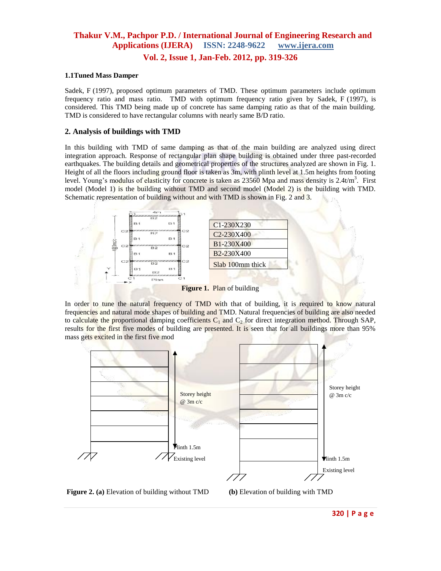### **1.1Tuned Mass Damper**

Sadek, F (1997), proposed optimum parameters of TMD. These optimum parameters include optimum frequency ratio and mass ratio. TMD with optimum frequency ratio given by Sadek, F (1997), is considered. This TMD being made up of concrete has same damping ratio as that of the main building. TMD is considered to have rectangular columns with nearly same B/D ratio.

#### **2. Analysis of buildings with TMD**

In this building with TMD of same damping as that of the main building are analyzed using direct integration approach. Response of rectangular plan shape building is obtained under three past-recorded earthquakes. The building details and geometrical properties of the structures analyzed are shown in Fig. 1. Height of all the floors including ground floor is taken as 3m, with plinth level at 1.5m heights from footing level. Young's modulus of elasticity for concrete is taken as 23560 Mpa and mass density is 2.4t/m<sup>3</sup>. First model (Model 1) is the building without TMD and second model (Model 2) is the building with TMD. Schematic representation of building without and with TMD is shown in Fig. 2 and 3.



**Figure 1.** Plan of building

In order to tune the natural frequency of TMD with that of building, it is required to know natural frequencies and natural mode shapes of building and TMD. Natural frequencies of building are also needed to calculate the proportional damping coefficients  $C_1$  and  $C_2$  for direct integration method. Through SAP, results for the first five modes of building are presented. It is seen that for all buildings more than 95% mass gets excited in the first five mod



**Figure 2. (a)** Elevation of building without TMD **(b)** Elevation of building with TMD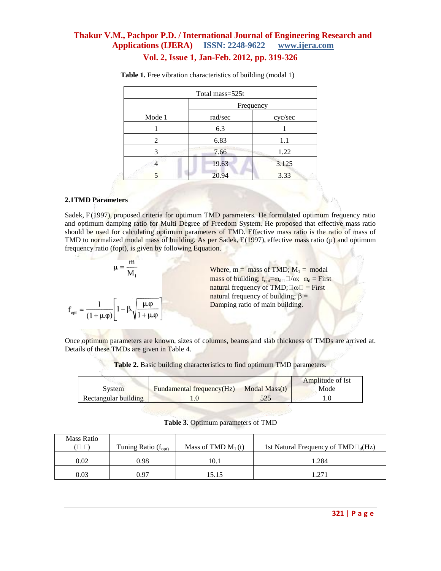| Total mass=525t |         |         |  |  |  |  |
|-----------------|---------|---------|--|--|--|--|
| Frequency       |         |         |  |  |  |  |
| Mode 1          | rad/sec | cyc/sec |  |  |  |  |
|                 | 6.3     |         |  |  |  |  |
| 2               | 6.83    | 1.1     |  |  |  |  |
| 3               | 7.66    | 1.22    |  |  |  |  |
|                 | 19.63   | 3.125   |  |  |  |  |
|                 | 20.94   | 3.33    |  |  |  |  |

 **Table 1.** Free vibration characteristics of building (modal 1)

#### **2.1TMD Parameters**

Sadek, F(1997), proposed criteria for optimum TMD parameters. He formulated optimum frequency ratio and optimum damping ratio for Multi Degree of Freedom System. He proposed that effective mass ratio should be used for calculating optimum parameters of TMD. Effective mass ratio is the ratio of mass of TMD to normalized modal mass of building. As per Sadek,  $F(1997)$ , effective mass ratio ( $\mu$ ) and optimum frequency ratio (fopt), is given by following Equation.

$$
\mu = \frac{m}{M_1}
$$

$$
f_{opt} = \frac{1}{(1 + \mu \phi)} \left[ 1 - \beta \sqrt{\frac{\mu \phi}{1 + \mu \phi}} \right]
$$

合注 Where,  $m =$  mass of TMD;  $M_1 =$  modal mass of building;  $f_{opt} = \omega_{d} \square / \omega$ ;  $\omega_d =$  First natural frequency of TMD; $\square \omega \square =$  First natural frequency of building;  $\beta =$ Damping ratio of main building.

Once optimum parameters are known, sizes of columns, beams and slab thickness of TMDs are arrived at. Details of these TMDs are given in Table 4.

|                      |                           |               | Amplitude of Ist |
|----------------------|---------------------------|---------------|------------------|
| Svstem               | Fundamental frequency(Hz) | Modal Mass(t) | Mode             |
| Rectangular building |                           |               |                  |

**Table 2.** Basic building characteristics to find optimum TMD parameters.

**Table 3.** Optimum parameters of TMD

| <b>Mass Ratio</b> | Tuning Ratio $(f_{opt})$ | Mass of TMD $M_1(t)$ | 1st Natural Frequency of $\text{TMD} \square_d(\text{Hz})$ |
|-------------------|--------------------------|----------------------|------------------------------------------------------------|
| 0.02              | 0.98                     | 10.1                 | .284                                                       |
| 0.03              | 0.97                     | 15.15                | $1.27^\circ$                                               |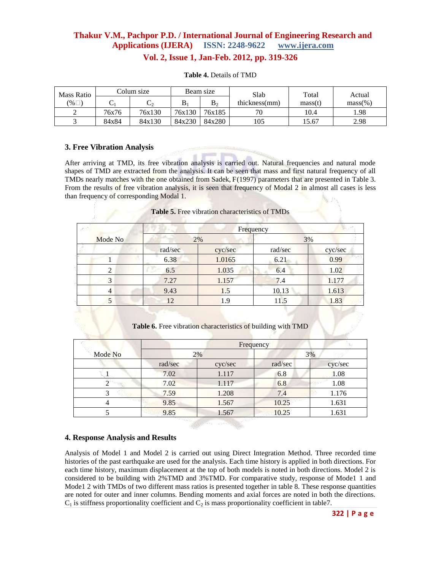# **Thakur V.M., Pachpor P.D. / International Journal of Engineering Research and Applications (IJERA) ISSN: 2248-9622 www.ijera.com**

**Vol. 2, Issue 1, Jan-Feb. 2012, pp. 319-326**

| <b>Mass Ratio</b> |       | Colum size |         | Beam size | Slab          | Total   | Actual     |
|-------------------|-------|------------|---------|-----------|---------------|---------|------------|
| (% □              |       |            | $\rm B$ | $\rm B_2$ | thickness(mm) | mass(t) | $mass(\%)$ |
|                   | 76x76 | 76x130     | 76x130  | 76x185    | 70            | 10.4    | 1.98       |
|                   | 84x84 | 84x130     | 84x230  | 84x280    | 105           | 15.67   | 2.98       |

#### **Table 4.** Details of TMD

### **3. Free Vibration Analysis**

After arriving at TMD, its free vibration analysis is carried out. Natural frequencies and natural mode shapes of TMD are extracted from the analysis. It can be seen that mass and first natural frequency of all TMDs nearly matches with the one obtained from Sadek, F(1997) parameters that are presented in Table 3. From the results of free vibration analysis, it is seen that frequency of Modal 2 in almost all cases is less than frequency of corresponding Modal 1.

#### **Table 5.** Free vibration characteristics of TMDs

|         |         |         | Frequency |         |
|---------|---------|---------|-----------|---------|
| Mode No | 2%      |         |           | 3%      |
|         | rad/sec | cyc/sec | rad/sec   | cyc/sec |
|         | 6.38    | 1.0165  | 6.21      | 0.99    |
|         | 6.5     | 1.035   | 6.4       | 1.02    |
| 3       | 7.27    | 1.157   | 7.4       | 1.177   |
| 4       | 9.43    | 1.5     | 10.13     | 1.613   |
|         | 12      | 1.9     | 11.5      | 1.83    |
|         |         |         |           |         |

**Table 6.** Free vibration characteristics of building with TMD

|         |         |         | Frequency |         |
|---------|---------|---------|-----------|---------|
| Mode No | 2%      |         |           | 3%      |
|         | rad/sec | cyc/sec | rad/sec   | cyc/sec |
|         | 7.02    | 1.117   | 6.8       | 1.08    |
|         | 7.02    | 1.117   | 6.8       | 1.08    |
|         | 7.59    | 1.208   | 7.4       | 1.176   |
|         | 9.85    | 1.567   | 10.25     | 1.631   |
|         | 9.85    | 1.567   | 10.25     | 1.631   |

### **4. Response Analysis and Results**

Analysis of Model 1 and Model 2 is carried out using Direct Integration Method. Three recorded time histories of the past earthquake are used for the analysis. Each time history is applied in both directions. For each time history, maximum displacement at the top of both models is noted in both directions. Model 2 is considered to be building with 2%TMD and 3%TMD. For comparative study, response of Mode1 1 and Mode1 2 with TMDs of two different mass ratios is presented together in table 8. These response quantities are noted for outer and inner columns. Bending moments and axial forces are noted in both the directions.  $C_1$  is stiffness proportionality coefficient and  $C_2$  is mass proportionality coefficient in table7.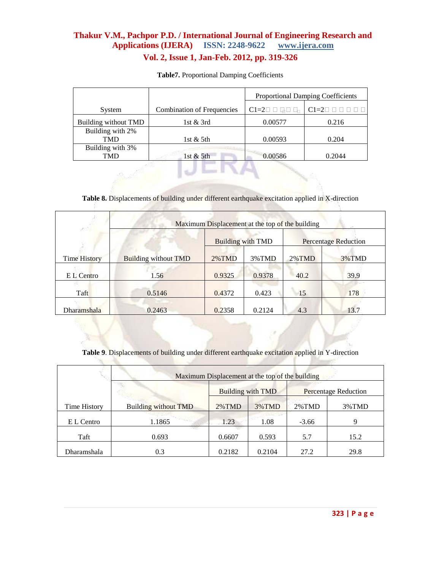|                                |                                   | <b>Proportional Damping Coefficients</b>      |                                       |  |
|--------------------------------|-----------------------------------|-----------------------------------------------|---------------------------------------|--|
| System                         | <b>Combination of Frequencies</b> | $Cl=2\square \square \square \square \square$ | $C1 = 20$ $\Box$ $\Box$ $\Box$ $\Box$ |  |
| Building without TMD           | 1st $&$ 3rd                       | 0.00577                                       | 0.216                                 |  |
| Building with 2%               |                                   |                                               |                                       |  |
| <b>TMD</b>                     | 1st $&$ 5th                       | 0.00593                                       | 0.204                                 |  |
| Building with 3%<br><b>TMD</b> | 1st $&$ 5th                       | 0.00586                                       | 0.2044                                |  |
|                                |                                   |                                               |                                       |  |

**Table7.** Proportional Damping Coefficients

**Table 8.** Displacements of building under different earthquake excitation applied in X-direction

| esta                | Maximum Displacement at the top of the building |                          |        |           |                      |  |  |  |
|---------------------|-------------------------------------------------|--------------------------|--------|-----------|----------------------|--|--|--|
|                     |                                                 | <b>Building with TMD</b> |        |           | Percentage Reduction |  |  |  |
| <b>Time History</b> | <b>Building without TMD</b>                     | $2\%$ TMD                | 3%TMD  | $2\%$ TMD | 3%TMD                |  |  |  |
| E L Centro          | 1.56                                            | 0.9325                   | 0.9378 | 40.2      | 39.9                 |  |  |  |
| Taft                | 0.5146                                          | 0.4372                   | 0.423  | 15        | 178                  |  |  |  |
| Dharamshala         | 0.2463                                          | 0.2358                   | 0.2124 | 4.3       | 13.7                 |  |  |  |

**Table 9**. Displacements of building under different earthquake excitation applied in Y-direction

|              | Maximum Displacement at the top of the building |           |                          |                             |       |  |  |  |  |
|--------------|-------------------------------------------------|-----------|--------------------------|-----------------------------|-------|--|--|--|--|
|              |                                                 |           | <b>Building with TMD</b> | <b>Percentage Reduction</b> |       |  |  |  |  |
| Time History | <b>Building without TMD</b>                     | $2\%$ TMD | $3\%$ TMD                | $2\%$ TMD                   | 3%TMD |  |  |  |  |
| E L Centro   | 1.1865                                          | 1.23      | 1.08                     | $-3.66$                     | 9     |  |  |  |  |
| Taft         | 0.693                                           | 0.6607    | 0.593                    | 5.7                         | 15.2  |  |  |  |  |
| Dharamshala  | 0.3                                             | 0.2182    | 0.2104                   | 27.2                        | 29.8  |  |  |  |  |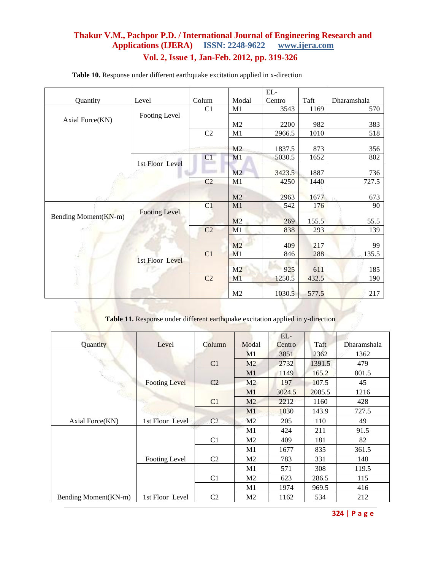## **Thakur V.M., Pachpor P.D. / International Journal of Engineering Research and <br>Applications (IJERA)** ISSN: 2248-9622 www.ijera.com Applications (IJERA) ISSN: 2248-9622 **Vol. 2, Issue 1, Jan-Feb. 2012, pp. 319-326**

|                      |                      |                |                | $EL-$  |       |             |
|----------------------|----------------------|----------------|----------------|--------|-------|-------------|
| Quantity             | Level                | Colum          | Modal          | Centro | Taft  | Dharamshala |
|                      |                      | C1             | M1             | 3543   | 1169  | 570         |
| Axial Force(KN)      | Footing Level        |                |                |        |       |             |
|                      |                      |                | M <sub>2</sub> | 2200   | 982   | 383         |
|                      |                      | C2             | M1             | 2966.5 | 1010  | 518         |
|                      |                      |                |                |        |       |             |
|                      |                      |                | M <sub>2</sub> | 1837.5 | 873   | 356         |
|                      | 1st Floor Level      | C1             | M1             | 5030.5 | 1652  | 802         |
|                      |                      |                |                |        |       |             |
|                      |                      |                | M2             | 3423.5 | 1887  | 736         |
|                      |                      | C <sub>2</sub> | M1             | 4250   | 1440  | 727.5       |
|                      |                      |                | M <sub>2</sub> | 2963   | 1677  | 673         |
|                      |                      |                |                |        |       |             |
|                      | <b>Footing Level</b> | C1             | M1             | 542    | 176   | 90          |
| Bending Moment(KN-m) |                      |                | M <sub>2</sub> | 269    | 155.5 | 55.5        |
|                      |                      | C2             | M1             | 838    | 293   | 139         |
|                      |                      |                | M <sub>2</sub> | 409    | 217   | 99          |
|                      |                      | C1             | M1             | 846    | 288   | 135.5       |
|                      | 1st Floor Level      |                |                |        |       |             |
|                      | v                    |                | M2             | 925    | 611   | 185         |
|                      |                      | C <sub>2</sub> | M <sub>1</sub> | 1250.5 | 432.5 | 190         |
|                      |                      |                | M <sub>2</sub> | 1030.5 | 577.5 | 217         |

**Table 10.** Response under different earthquake excitation applied in x-direction

**Table 11.** Response under different earthquake excitation applied in y-direction

|                       |                      |                |                | EL-    |        |             |
|-----------------------|----------------------|----------------|----------------|--------|--------|-------------|
| Quantity              | Level                | Column         | Modal          | Centro | Taft   | Dharamshala |
|                       |                      |                | M <sub>1</sub> | 3851   | 2362   | 1362        |
|                       |                      | C1             | M <sub>2</sub> | 2732   | 1391.5 | 479         |
|                       |                      |                | M1             | 1149   | 165.2  | 801.5       |
|                       | <b>Footing Level</b> | C <sub>2</sub> | M <sub>2</sub> | 197    | 107.5  | 45          |
|                       |                      |                | M <sub>1</sub> | 3024.5 | 2085.5 | 1216        |
|                       |                      | C <sub>1</sub> | M <sub>2</sub> | 2212   | 1160   | 428         |
|                       |                      |                | M1             | 1030   | 143.9  | 727.5       |
| Axial Force(KN)       | 1st Floor Level      | C <sub>2</sub> | M <sub>2</sub> | 205    | 110    | 49          |
|                       |                      |                | M1             | 424    | 211    | 91.5        |
|                       |                      | C <sub>1</sub> | M <sub>2</sub> | 409    | 181    | 82          |
|                       |                      |                | M1             | 1677   | 835    | 361.5       |
|                       | Footing Level        | C <sub>2</sub> | M <sub>2</sub> | 783    | 331    | 148         |
|                       |                      |                | M1             | 571    | 308    | 119.5       |
|                       |                      | C1             | M <sub>2</sub> | 623    | 286.5  | 115         |
|                       |                      |                | M1             | 1974   | 969.5  | 416         |
| Bending Moment (KN-m) | 1st Floor Level      | C <sub>2</sub> | M2             | 1162   | 534    | 212         |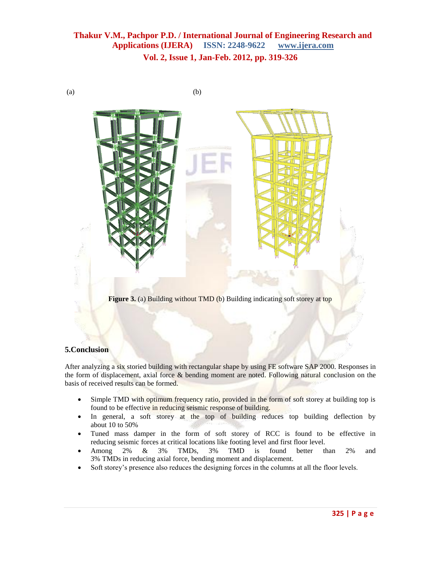$(a)$  (b)



**Figure 3.** (a) Building without **TMD** (b) Building indicating soft storey at top

### **5.Conclusion**

After analyzing a six storied building with rectangular shape by using FE software SAP 2000. Responses in the form of displacement, axial force & bending moment are noted. Following natural conclusion on the basis of received results can be formed.

- Simple TMD with optimum frequency ratio, provided in the form of soft storey at building top is found to be effective in reducing seismic response of building.
- In general, a soft storey at the top of building reduces top building deflection by about 10 to 50%
- Tuned mass damper in the form of soft storey of RCC is found to be effective in reducing seismic forces at critical locations like footing level and first floor level.
- Among 2% & 3% TMDs, 3% TMD is found better than 2% and 3% TMDs in reducing axial force, bending moment and displacement.
- Soft storey's presence also reduces the designing forces in the columns at all the floor levels.